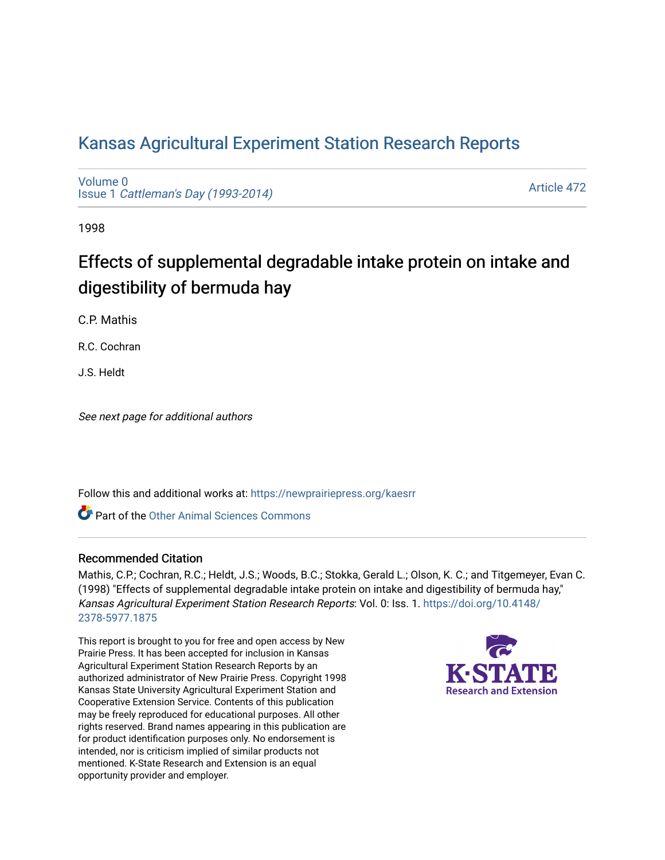## [Kansas Agricultural Experiment Station Research Reports](https://newprairiepress.org/kaesrr)

[Volume 0](https://newprairiepress.org/kaesrr/vol0) Issue 1 [Cattleman's Day \(1993-2014\)](https://newprairiepress.org/kaesrr/vol0/iss1) 

[Article 472](https://newprairiepress.org/kaesrr/vol0/iss1/472) 

1998

# Effects of supplemental degradable intake protein on intake and digestibility of bermuda hay

C.P. Mathis

R.C. Cochran

J.S. Heldt

See next page for additional authors

Follow this and additional works at: [https://newprairiepress.org/kaesrr](https://newprairiepress.org/kaesrr?utm_source=newprairiepress.org%2Fkaesrr%2Fvol0%2Fiss1%2F472&utm_medium=PDF&utm_campaign=PDFCoverPages) 

Part of the [Other Animal Sciences Commons](http://network.bepress.com/hgg/discipline/82?utm_source=newprairiepress.org%2Fkaesrr%2Fvol0%2Fiss1%2F472&utm_medium=PDF&utm_campaign=PDFCoverPages)

#### Recommended Citation

Mathis, C.P.; Cochran, R.C.; Heldt, J.S.; Woods, B.C.; Stokka, Gerald L.; Olson, K. C.; and Titgemeyer, Evan C. (1998) "Effects of supplemental degradable intake protein on intake and digestibility of bermuda hay," Kansas Agricultural Experiment Station Research Reports: Vol. 0: Iss. 1. [https://doi.org/10.4148/](https://doi.org/10.4148/2378-5977.1875) [2378-5977.1875](https://doi.org/10.4148/2378-5977.1875) 

This report is brought to you for free and open access by New Prairie Press. It has been accepted for inclusion in Kansas Agricultural Experiment Station Research Reports by an authorized administrator of New Prairie Press. Copyright 1998 Kansas State University Agricultural Experiment Station and Cooperative Extension Service. Contents of this publication may be freely reproduced for educational purposes. All other rights reserved. Brand names appearing in this publication are for product identification purposes only. No endorsement is intended, nor is criticism implied of similar products not mentioned. K-State Research and Extension is an equal opportunity provider and employer.

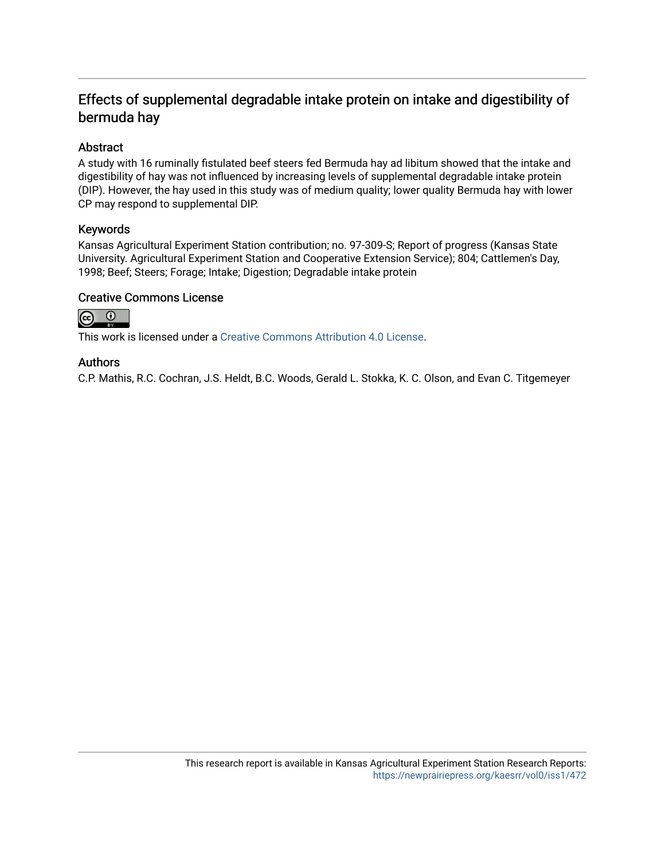### Effects of supplemental degradable intake protein on intake and digestibility of bermuda hay

#### Abstract

A study with 16 ruminally fistulated beef steers fed Bermuda hay ad libitum showed that the intake and digestibility of hay was not influenced by increasing levels of supplemental degradable intake protein (DIP). However, the hay used in this study was of medium quality; lower quality Bermuda hay with lower CP may respond to supplemental DIP.

#### Keywords

Kansas Agricultural Experiment Station contribution; no. 97-309-S; Report of progress (Kansas State University. Agricultural Experiment Station and Cooperative Extension Service); 804; Cattlemen's Day, 1998; Beef; Steers; Forage; Intake; Digestion; Degradable intake protein

#### Creative Commons License



This work is licensed under a [Creative Commons Attribution 4.0 License](https://creativecommons.org/licenses/by/4.0/).

#### Authors

C.P. Mathis, R.C. Cochran, J.S. Heldt, B.C. Woods, Gerald L. Stokka, K. C. Olson, and Evan C. Titgemeyer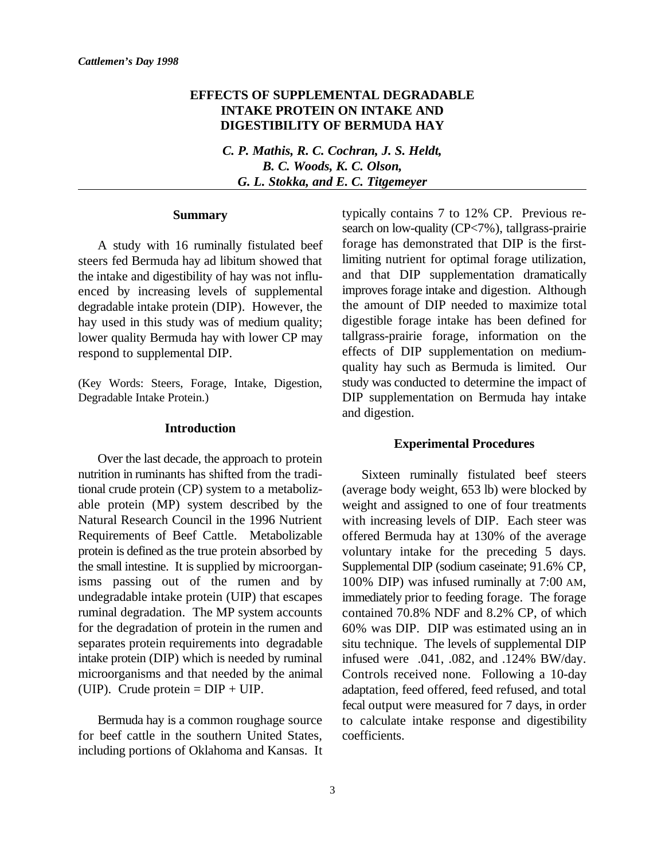#### **EFFECTS OF SUPPLEMENTAL DEGRADABLE INTAKE PROTEIN ON INTAKE AND DIGESTIBILITY OF BERMUDA HAY**

*C. P. Mathis, R. C. Cochran, J. S. Heldt, B. C. Woods, K. C. Olson, G. L. Stokka, and E. C. Titgemeyer*

#### **Summary**

A study with 16 ruminally fistulated beef steers fed Bermuda hay ad libitum showed that the intake and digestibility of hay was not influenced by increasing levels of supplemental degradable intake protein (DIP). However, the hay used in this study was of medium quality; lower quality Bermuda hay with lower CP may respond to supplemental DIP.

(Key Words: Steers, Forage, Intake, Digestion, Degradable Intake Protein.)

#### **Introduction**

Over the last decade, the approach to protein nutrition in ruminants has shifted from the traditional crude protein (CP) system to a metabolizable protein (MP) system described by the Natural Research Council in the 1996 Nutrient Requirements of Beef Cattle. Metabolizable protein is defined as the true protein absorbed by the small intestine. It is supplied by microorganisms passing out of the rumen and by undegradable intake protein (UIP) that escapes ruminal degradation. The MP system accounts for the degradation of protein in the rumen and separates protein requirements into degradable intake protein (DIP) which is needed by ruminal microorganisms and that needed by the animal (UIP). Crude protein  $= DIP + UIP$ .

Bermuda hay is a common roughage source for beef cattle in the southern United States, including portions of Oklahoma and Kansas. It typically contains 7 to 12% CP. Previous research on low-quality (CP<7%), tallgrass-prairie forage has demonstrated that DIP is the firstlimiting nutrient for optimal forage utilization, and that DIP supplementation dramatically improves forage intake and digestion. Although the amount of DIP needed to maximize total digestible forage intake has been defined for tallgrass-prairie forage, information on the effects of DIP supplementation on mediumquality hay such as Bermuda is limited. Our study was conducted to determine the impact of DIP supplementation on Bermuda hay intake and digestion.

#### **Experimental Procedures**

Sixteen ruminally fistulated beef steers (average body weight, 653 lb) were blocked by weight and assigned to one of four treatments with increasing levels of DIP. Each steer was offered Bermuda hay at 130% of the average voluntary intake for the preceding 5 days. Supplemental DIP (sodium caseinate; 91.6% CP, 100% DIP) was infused ruminally at 7:00 AM, immediately prior to feeding forage. The forage contained 70.8% NDF and 8.2% CP, of which 60% was DIP. DIP was estimated using an in situ technique. The levels of supplemental DIP infused were .041, .082, and .124% BW/day. Controls received none. Following a 10-day adaptation, feed offered, feed refused, and total fecal output were measured for 7 days, in order to calculate intake response and digestibility coefficients.